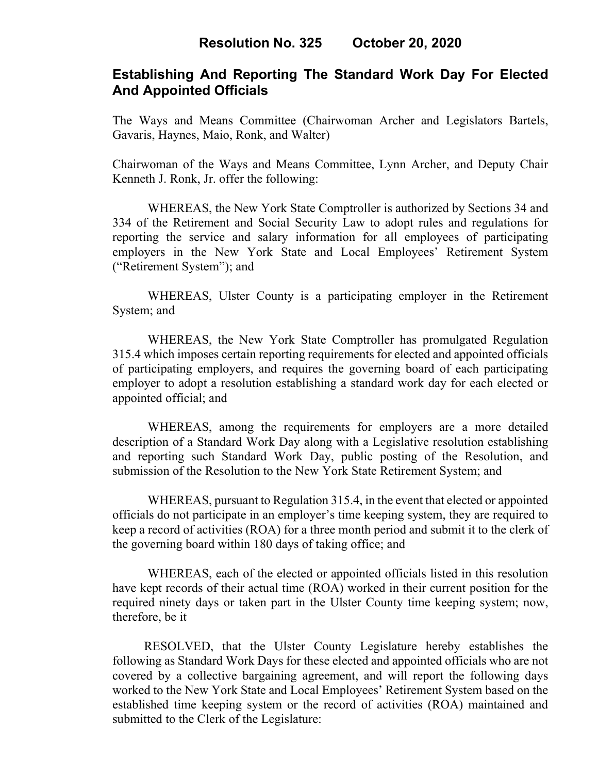## **Establishing And Reporting The Standard Work Day For Elected And Appointed Officials**

The Ways and Means Committee (Chairwoman Archer and Legislators Bartels, Gavaris, Haynes, Maio, Ronk, and Walter)

Chairwoman of the Ways and Means Committee, Lynn Archer, and Deputy Chair Kenneth J. Ronk, Jr. offer the following:

WHEREAS, the New York State Comptroller is authorized by Sections 34 and 334 of the Retirement and Social Security Law to adopt rules and regulations for reporting the service and salary information for all employees of participating employers in the New York State and Local Employees' Retirement System ("Retirement System"); and

WHEREAS, Ulster County is a participating employer in the Retirement System; and

WHEREAS, the New York State Comptroller has promulgated Regulation 315.4 which imposes certain reporting requirements for elected and appointed officials of participating employers, and requires the governing board of each participating employer to adopt a resolution establishing a standard work day for each elected or appointed official; and

WHEREAS, among the requirements for employers are a more detailed description of a Standard Work Day along with a Legislative resolution establishing and reporting such Standard Work Day, public posting of the Resolution, and submission of the Resolution to the New York State Retirement System; and

WHEREAS, pursuant to Regulation 315.4, in the event that elected or appointed officials do not participate in an employer's time keeping system, they are required to keep a record of activities (ROA) for a three month period and submit it to the clerk of the governing board within 180 days of taking office; and

WHEREAS, each of the elected or appointed officials listed in this resolution have kept records of their actual time (ROA) worked in their current position for the required ninety days or taken part in the Ulster County time keeping system; now, therefore, be it

 RESOLVED, that the Ulster County Legislature hereby establishes the following as Standard Work Days for these elected and appointed officials who are not covered by a collective bargaining agreement, and will report the following days worked to the New York State and Local Employees' Retirement System based on the established time keeping system or the record of activities (ROA) maintained and submitted to the Clerk of the Legislature: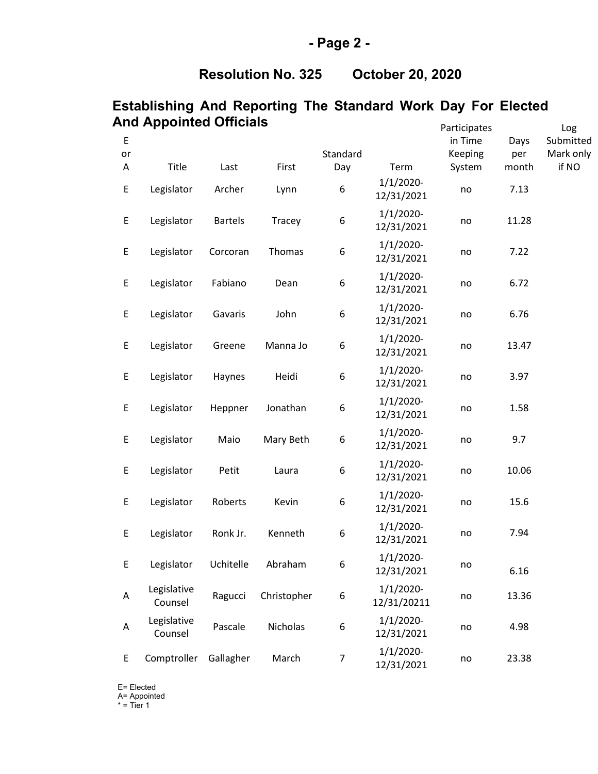# **Resolution No. 325 October 20, 2020**

## **Establishing And Reporting The Standard Work Day For Elected And Appointed Officials**

|             | כווורט באווונדע שווג   |                |             |          |                             | Participates |       | Log       |
|-------------|------------------------|----------------|-------------|----------|-----------------------------|--------------|-------|-----------|
| $\mathsf E$ |                        |                |             |          |                             | in Time      | Days  | Submitted |
| or          |                        |                |             | Standard |                             | Keeping      | per   | Mark only |
| Α           | Title                  | Last           | First       | Day      | Term                        | System       | month | if NO     |
| E           | Legislator             | Archer         | Lynn        | 6        | $1/1/2020$ -<br>12/31/2021  | no           | 7.13  |           |
| E           | Legislator             | <b>Bartels</b> | Tracey      | 6        | $1/1/2020$ -<br>12/31/2021  | no           | 11.28 |           |
| E           | Legislator             | Corcoran       | Thomas      | 6        | $1/1/2020$ -<br>12/31/2021  | no           | 7.22  |           |
| E           | Legislator             | Fabiano        | Dean        | 6        | $1/1/2020$ -<br>12/31/2021  | no           | 6.72  |           |
| E           | Legislator             | Gavaris        | John        | 6        | $1/1/2020$ -<br>12/31/2021  | no           | 6.76  |           |
| E           | Legislator             | Greene         | Manna Jo    | 6        | $1/1/2020$ -<br>12/31/2021  | no           | 13.47 |           |
| E           | Legislator             | Haynes         | Heidi       | 6        | $1/1/2020$ -<br>12/31/2021  | no           | 3.97  |           |
| E           | Legislator             | Heppner        | Jonathan    | 6        | $1/1/2020$ -<br>12/31/2021  | no           | 1.58  |           |
| E           | Legislator             | Maio           | Mary Beth   | 6        | $1/1/2020$ -<br>12/31/2021  | no           | 9.7   |           |
| E           | Legislator             | Petit          | Laura       | 6        | $1/1/2020$ -<br>12/31/2021  | no           | 10.06 |           |
| E           | Legislator             | Roberts        | Kevin       | 6        | $1/1/2020$ -<br>12/31/2021  | no           | 15.6  |           |
| E           | Legislator             | Ronk Jr.       | Kenneth     | 6        | $1/1/2020$ -<br>12/31/2021  | no           | 7.94  |           |
| E           | Legislator             | Uchitelle      | Abraham     | 6        | 1/1/2020-<br>12/31/2021     | no           | 6.16  |           |
| A           | Legislative<br>Counsel | Ragucci        | Christopher | 6        | $1/1/2020$ -<br>12/31/20211 | no           | 13.36 |           |
| A           | Legislative<br>Counsel | Pascale        | Nicholas    | 6        | $1/1/2020$ -<br>12/31/2021  | no           | 4.98  |           |
| E           | Comptroller            | Gallagher      | March       | 7        | $1/1/2020$ -<br>12/31/2021  | no           | 23.38 |           |

E= Elected A= Appointed

\* = Tier 1